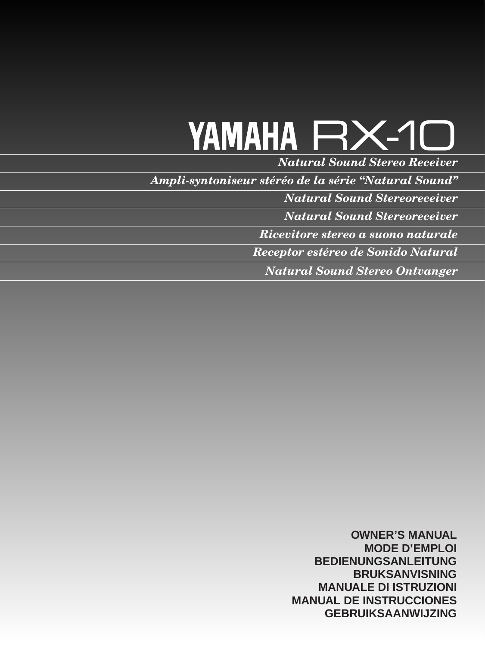# YAMAHA RX-10

*Natural Sound Stereo Receiver*

*Ampli-syntoniseur stéréo de la série "Natural Sound"*

*Natural Sound Stereoreceiver*

*Natural Sound Stereoreceiver*

*Ricevitore stereo a suono naturale*

*Receptor estéreo de Sonido Natural*

*Natural Sound Stereo Ontvanger*

**OWNER'S MANUAL MODE D'EMPLOI BEDIENUNGSANLEITUNG BRUKSANVISNING MANUALE DI ISTRUZIONI MANUAL DE INSTRUCCIONES GEBRUIKSAANWIJZING**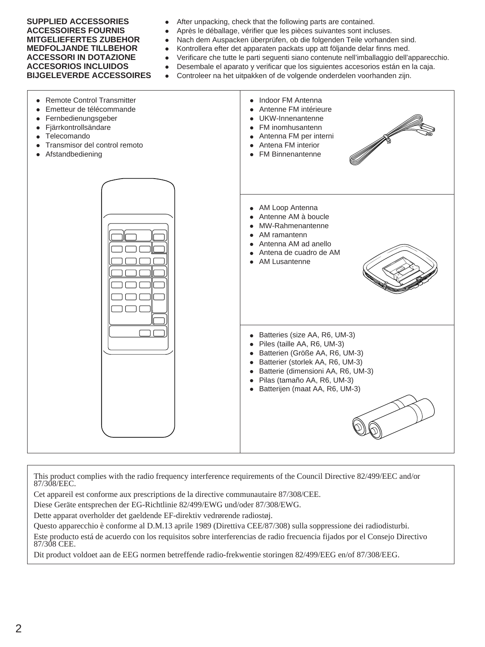- **SUPPLIED ACCESSORIES** After unpacking, check that the following parts are contained.
- ACCESSOIRES FOURNIS **•** Après le déballage, vérifier que les pièces suivantes sont incluses.
- **MITGELIEFERTES ZUBEHOR** Nach dem Auspacken überprüfen, ob die folgenden Teile vorhanden sind.
- **MEDFOLJANDE TILLBEHOR** Kontrollera efter det apparaten packats upp att följande delar finns med.
- **ACCESSORI IN DOTAZIONE** Verificare che tutte le parti seguenti siano contenute nell'imballaggio dell'apparecchio.
- **ACCESORIOS INCLUIDOS** Desembale el aparato y verificar que los siguientes accesorios están en la caja.
- **BIJGELEVERDE ACCESSOIRES** Controleer na het uitpakken of de volgende onderdelen voorhanden zijn.



This product complies with the radio frequency interference requirements of the Council Directive 82/499/EEC and/or 87/308/EEC.

Cet appareil est conforme aux prescriptions de la directive communautaire 87/308/CEE.

Diese Geräte entsprechen der EG-Richtlinie 82/499/EWG und/oder 87/308/EWG.

Dette apparat overholder det gaeldende EF-direktiv vedrørende radiostøj.

Questo apparecchio è conforme al D.M.13 aprile 1989 (Direttiva CEE/87/308) sulla soppressione dei radiodisturbi. Este producto está de acuerdo con los requisitos sobre interferencias de radio frecuencia fijados por el Consejo Directivo 87/308 CEE.

Dit product voldoet aan de EEG normen betreffende radio-frekwentie storingen 82/499/EEG en/of 87/308/EEG.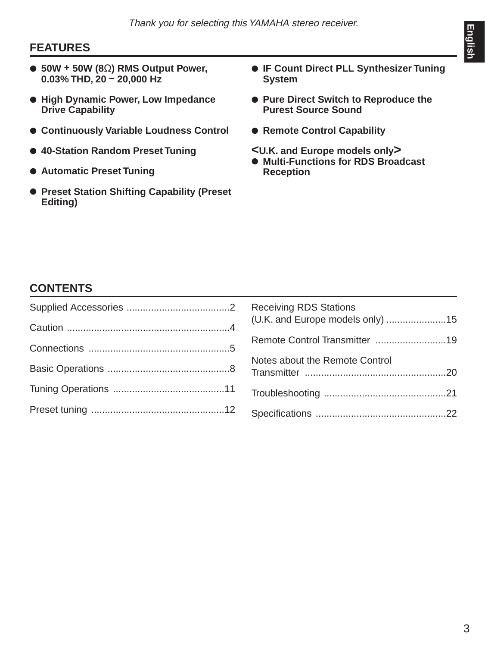# **FEATURES**

- **50W + 50W (8**Ω**) RMS Output Power, 0.03% THD, 20 – 20,000 Hz**
- **High Dynamic Power, Low Impedance Drive Capability**
- **Continuously Variable Loudness Control**
- **40-Station Random Preset Tuning**
- **Automatic Preset Tuning**
- **Preset Station Shifting Capability (Preset Editing)**
- **IF Count Direct PLL Synthesizer Tuning System**
- **Pure Direct Switch to Reproduce the Purest Source Sound**
- **Remote Control Capability**
- **<U.K. and Europe models only>**
- **Multi-Functions for RDS Broadcast Reception**

# **CONTENTS**

| (U.K. and Europe models only) 15 |
|----------------------------------|
|                                  |
| Notes about the Remote Control   |
|                                  |
|                                  |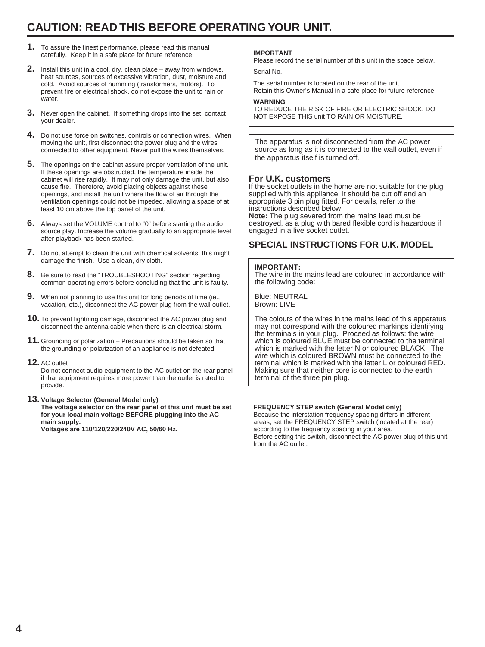# **CAUTION: READ THIS BEFORE OPERATING YOUR UNIT.**

- **1.** To assure the finest performance, please read this manual carefully. Keep it in a safe place for future reference.
- **2.** Install this unit in a cool, dry, clean place away from windows, heat sources, sources of excessive vibration, dust, moisture and cold. Avoid sources of humming (transformers, motors). To prevent fire or electrical shock, do not expose the unit to rain or water.
- **3.** Never open the cabinet. If something drops into the set, contact your dealer.
- **4.** Do not use force on switches, controls or connection wires. When moving the unit, first disconnect the power plug and the wires connected to other equipment. Never pull the wires themselves.
- **5.** The openings on the cabinet assure proper ventilation of the unit. If these openings are obstructed, the temperature inside the cabinet will rise rapidly. It may not only damage the unit, but also cause fire. Therefore, avoid placing objects against these openings, and install the unit where the flow of air through the ventilation openings could not be impeded, allowing a space of at least 10 cm above the top panel of the unit.
- **6.** Always set the VOLUME control to "0" before starting the audio source play. Increase the volume gradually to an appropriate level after playback has been started.
- **7.** Do not attempt to clean the unit with chemical solvents; this might damage the finish. Use a clean, dry cloth.
- **8.** Be sure to read the "TROUBLESHOOTING" section regarding common operating errors before concluding that the unit is faulty.
- **9.** When not planning to use this unit for long periods of time (ie., vacation, etc.), disconnect the AC power plug from the wall outlet.
- **10.** To prevent lightning damage, disconnect the AC power plug and disconnect the antenna cable when there is an electrical storm.
- **11.** Grounding or polarization Precautions should be taken so that the grounding or polarization of an appliance is not defeated.
- **12.** AC outlet

Do not connect audio equipment to the AC outlet on the rear panel if that equipment requires more power than the outlet is rated to provide.

### **13. Voltage Selector (General Model only)**

**The voltage selector on the rear panel of this unit must be set for your local main voltage BEFORE plugging into the AC main supply.**

**Voltages are 110/120/220/240V AC, 50/60 Hz.**

### **IMPORTANT**

Please record the serial number of this unit in the space below. Serial No.:

The serial number is located on the rear of the unit. Retain this Owner's Manual in a safe place for future reference.

### **WARNING**

TO REDUCE THE RISK OF FIRE OR ELECTRIC SHOCK, DO NOT EXPOSE THIS unit TO RAIN OR MOISTURE.

The apparatus is not disconnected from the AC power source as long as it is connected to the wall outlet, even if the apparatus itself is turned off.

### **For U.K. customers**

If the socket outlets in the home are not suitable for the plug supplied with this appliance, it should be cut off and an appropriate 3 pin plug fitted. For details, refer to the instructions described below. **Note:** The plug severed from the mains lead must be

destroyed, as a plug with bared flexible cord is hazardous if engaged in a live socket outlet.

# **SPECIAL INSTRUCTIONS FOR U.K. MODEL**

### **IMPORTANT:**

The wire in the mains lead are coloured in accordance with the following code:

Blue: NEUTRAL Brown: LIVE

The colours of the wires in the mains lead of this apparatus may not correspond with the coloured markings identifying the terminals in your plug. Proceed as follows: the wire which is coloured BLUE must be connected to the terminal which is marked with the letter N or coloured BLACK. The wire which is coloured BROWN must be connected to the terminal which is marked with the letter L or coloured RED. Making sure that neither core is connected to the earth terminal of the three pin plug.

### **FREQUENCY STEP switch (General Model only)**

Because the interstation frequency spacing differs in different areas, set the FREQUENCY STEP switch (located at the rear) according to the frequency spacing in your area. Before setting this switch, disconnect the AC power plug of this unit from the AC outlet.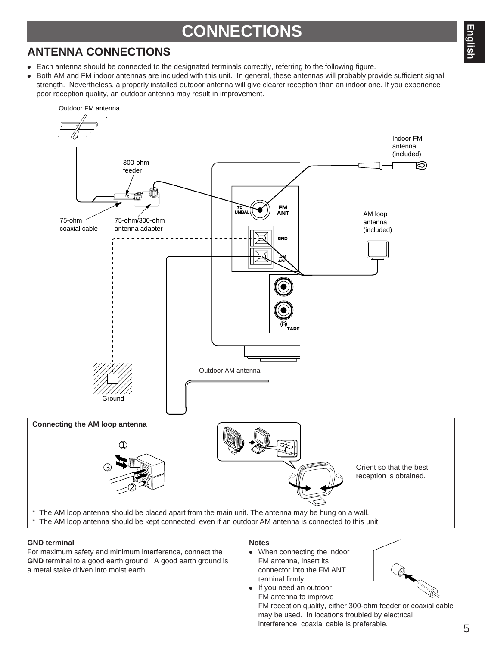# **ANTENNA CONNECTIONS**

- Each antenna should be connected to the designated terminals correctly, referring to the following figure.
- Both AM and FM indoor antennas are included with this unit. In general, these antennas will probably provide sufficient signal strength. Nevertheless, a properly installed outdoor antenna will give clearer reception than an indoor one. If you experience poor reception quality, an outdoor antenna may result in improvement.



### **GND terminal**

For maximum safety and minimum interference, connect the **GND** terminal to a good earth ground. A good earth ground is a metal stake driven into moist earth.

### **Notes**

● When connecting the indoor FM antenna, insert its connector into the FM ANT terminal firmly. ● If you need an outdoor



FM antenna to improve FM reception quality, either 300-ohm feeder or coaxial cable may be used. In locations troubled by electrical interference, coaxial cable is preferable.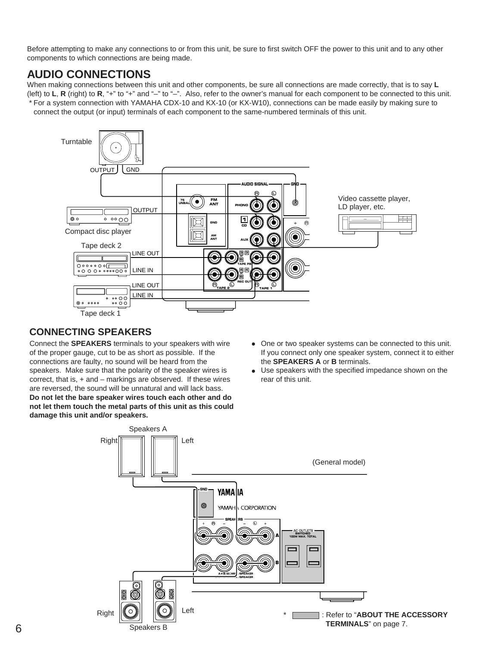Before attempting to make any connections to or from this unit, be sure to first switch OFF the power to this unit and to any other components to which connections are being made.

# **AUDIO CONNECTIONS**

When making connections between this unit and other components, be sure all connections are made correctly, that is to say **L** (left) to **L**, **R** (right) to **R**, "+" to "+" and "–" to "–". Also, refer to the owner's manual for each component to be connected to this unit. \* For a system connection with YAMAHA CDX-10 and KX-10 (or KX-W10), connections can be made easily by making sure to connect the output (or input) terminals of each component to the same-numbered terminals of this unit.



# **CONNECTING SPEAKERS**

Connect the **SPEAKERS** terminals to your speakers with wire of the proper gauge, cut to be as short as possible. If the connections are faulty, no sound will be heard from the speakers. Make sure that the polarity of the speaker wires is correct, that is, + and – markings are observed. If these wires are reversed, the sound will be unnatural and will lack bass. **Do not let the bare speaker wires touch each other and do not let them touch the metal parts of this unit as this could damage this unit and/or speakers.**

- One or two speaker systems can be connected to this unit. If you connect only one speaker system, connect it to either the **SPEAKERS A** or **B** terminals.
- Use speakers with the specified impedance shown on the rear of this unit.

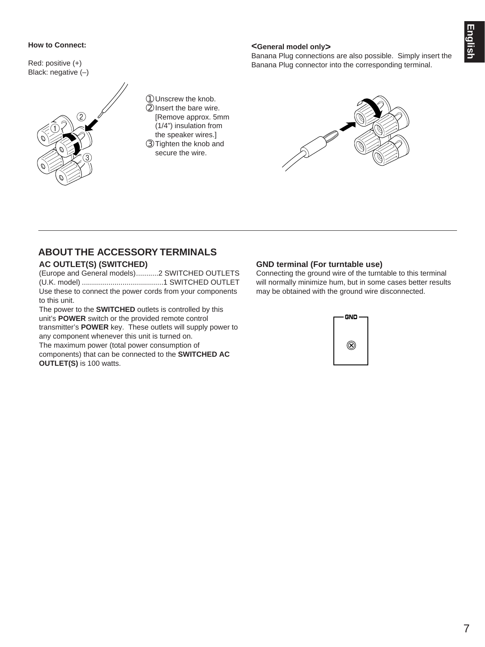# English 7**English**

### **How to Connect:**

Red: positive (+) Black: negative (–)



➀Unscrew the knob. ➁Insert the bare wire. [Remove approx. 5mm (1/4") insulation from the speaker wires.] ➂Tighten the knob and secure the wire.

### **<General model only>**

Banana Plug connections are also possible. Simply insert the Banana Plug connector into the corresponding terminal.



# **ABOUT THE ACCESSORY TERMINALS**

### **AC OUTLET(S) (SWITCHED)**

(Europe and General models)...........2 SWITCHED OUTLETS (U.K. model) ........................................1 SWITCHED OUTLET Use these to connect the power cords from your components to this unit.

The power to the **SWITCHED** outlets is controlled by this unit's **POWER** switch or the provided remote control transmitter's **POWER** key. These outlets will supply power to any component whenever this unit is turned on. The maximum power (total power consumption of components) that can be connected to the **SWITCHED AC OUTLET(S)** is 100 watts.

### **GND terminal (For turntable use)**

Connecting the ground wire of the turntable to this terminal will normally minimize hum, but in some cases better results may be obtained with the ground wire disconnected.

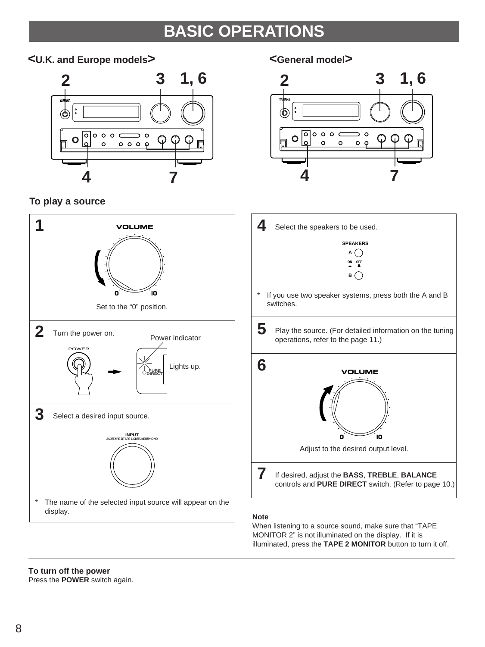# **BASIC OPERATIONS**

# **<U.K. and Europe models> <General model>**



# **To play a source**





- **4** Select the speakers to be used. **SPEAKERS ON OFF A**
- \* If you use two speaker systems, press both the A and B switches.

**B**  $\bigcap$ 

**5** Play the source. (For detailed information on the tuning operations, refer to the page 11.)



# **Note**

When listening to a source sound, make sure that "TAPE MONITOR 2" is not illuminated on the display. If it is illuminated, press the **TAPE 2 MONITOR** button to turn it off.

# **To turn off the power**

Press the **POWER** switch again.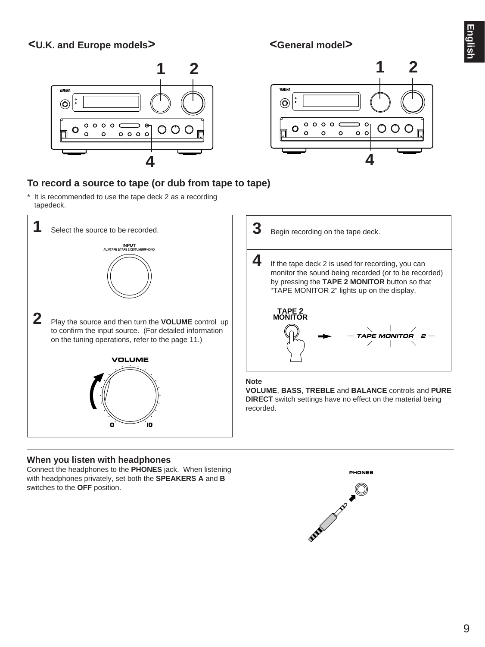# **<U.K. and Europe models> <General model>**







# **To record a source to tape (or dub from tape to tape)**

\* It is recommended to use the tape deck 2 as a recording tapedeck.



# **When you listen with headphones**

Connect the headphones to the **PHONES** jack. When listening with headphones privately, set both the **SPEAKERS A** and **B** switches to the **OFF** position.

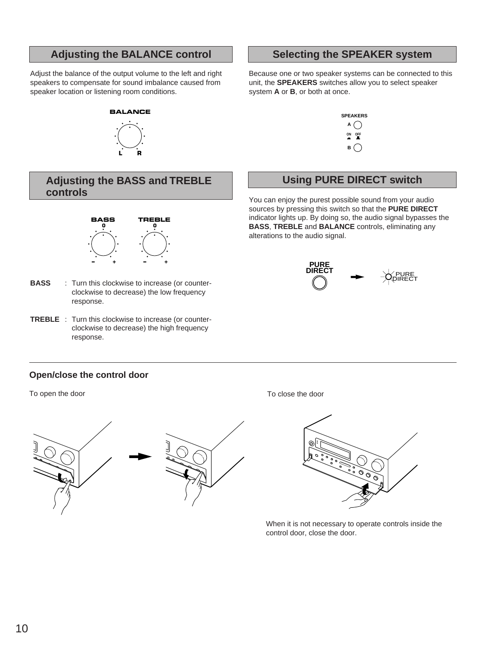# Adjusting the BALANCE control **Selecting the SPEAKER system**

Adjust the balance of the output volume to the left and right speakers to compensate for sound imbalance caused from speaker location or listening room conditions.

# **BALANCE**



# **Adjusting the BASS and TREBLE controls**



- **BASS** : Turn this clockwise to increase (or counterclockwise to decrease) the low frequency response.
- **TREBLE** : Turn this clockwise to increase (or counterclockwise to decrease) the high frequency response.

# **Open/close the control door**

To open the door To close the door To close the door



Because one or two speaker systems can be connected to this unit, the **SPEAKERS** switches allow you to select speaker system **A** or **B**, or both at once.



# **Using PURE DIRECT switch**

You can enjoy the purest possible sound from your audio sources by pressing this switch so that the **PURE DIRECT** indicator lights up. By doing so, the audio signal bypasses the **BASS**, **TREBLE** and **BALANCE** controls, eliminating any alterations to the audio signal.





When it is not necessary to operate controls inside the control door, close the door.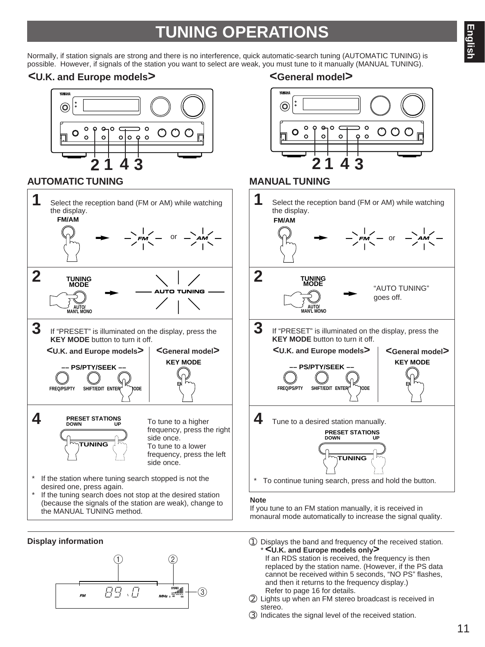# **TUNING OPERATIONS**

Normally, if station signals are strong and there is no interference, quick automatic-search tuning (AUTOMATIC TUNING) is possible. However, if signals of the station you want to select are weak, you must tune to it manually (MANUAL TUNING).

# **<U.K. and Europe models> <General model>**



# **AUTOMATIC TUNING MANUAL TUNING**



If the tuning search does not stop at the desired station (because the signals of the station are weak), change to the MANUAL TUNING method.





### **Note**

If you tune to an FM station manually, it is received in monaural mode automatically to increase the signal quality.

- **Display information Displays** the band and frequency of the received station. \* **<U.K. and Europe models only>** If an RDS station is received, the frequency is then
	- replaced by the station name. (However, if the PS data cannot be received within 5 seconds, "NO PS" flashes, and then it returns to the frequency display.) Refer to page 16 for details.
	- ➁ Lights up when an FM stereo broadcast is received in stereo.
	- ➂ Indicates the signal level of the received station.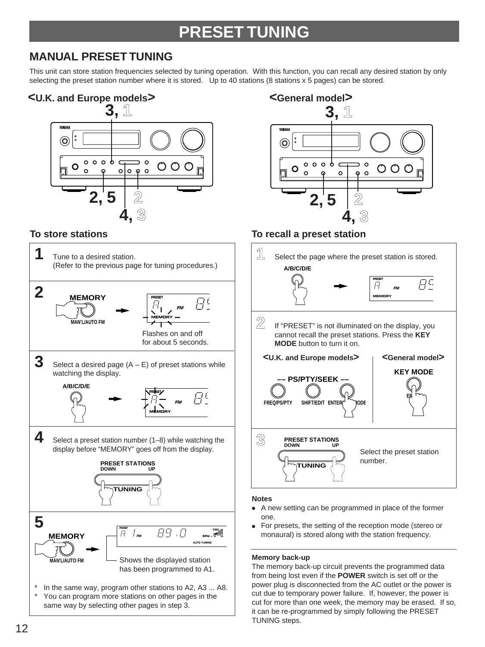# **PRESET TUNING**

# **MANUAL PRESET TUNING**

This unit can store station frequencies selected by tuning operation. With this function, you can recall any desired station by only selecting the preset station number where it is stored. Up to 40 stations (8 stations x 5 pages) can be stored.







# **To store stations To recall a preset station**



### **Notes**

- A new setting can be programmed in place of the former one.
- For presets, the setting of the reception mode (stereo or monaural) is stored along with the station frequency.

### **Memory back-up**

The memory back-up circuit prevents the programmed data from being lost even if the **POWER** switch is set off or the power plug is disconnected from the AC outlet or the power is cut due to temporary power failure. If, however, the power is cut for more than one week, the memory may be erased. If so, it can be re-programmed by simply following the PRESET TUNING steps.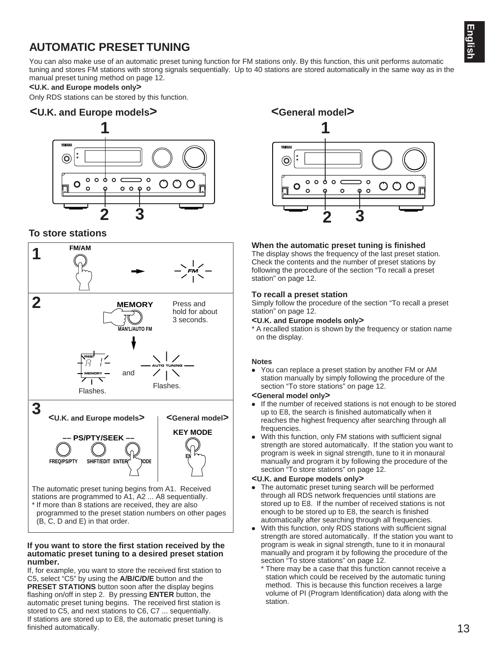# **AUTOMATIC PRESET TUNING**

You can also make use of an automatic preset tuning function for FM stations only. By this function, this unit performs automatic tuning and stores FM stations with strong signals sequentially. Up to 40 stations are stored automatically in the same way as in the manual preset tuning method on page 12.

### **<U.K. and Europe models only>**

Only RDS stations can be stored by this function.

# **<U.K. and Europe models> <General model>**



# **To store stations**



### **If you want to store the first station received by the automatic preset tuning to a desired preset station number.**

If, for example, you want to store the received first station to C5, select "C5" by using the **A/B/C/D/E** button and the **PRESET STATIONS** button soon after the display begins flashing on/off in step 2. By pressing **ENTER** button, the automatic preset tuning begins. The received first station is stored to C5, and next stations to C6, C7 ... sequentially. If stations are stored up to E8, the automatic preset tuning is finished automatically.

**YAMAHA**  $\circledcirc$  $\circ$   $\circ$  $\mathbf{p}$  $\circ$  c  $\Omega$  $\bigcirc$  $\bigcap$  $\circ$  $\Omega$  $\Omega$  $\circ$  $\Omega$ 

### **When the automatic preset tuning is finished**

The display shows the frequency of the last preset station. Check the contents and the number of preset stations by following the procedure of the section "To recall a preset station" on page 12.

### **To recall a preset station**

Simply follow the procedure of the section "To recall a preset station" on page 12.

- **<U.K. and Europe models only>**
- \* A recalled station is shown by the frequency or station name on the display.

### **Notes**

● You can replace a preset station by another FM or AM station manually by simply following the procedure of the section "To store stations" on page 12.

### **<General model only>**

- If the number of received stations is not enough to be stored up to E8, the search is finished automatically when it reaches the highest frequency after searching through all frequencies.
- With this function, only FM stations with sufficient signal strength are stored automatically. If the station you want to program is week in signal strength, tune to it in monaural manually and program it by following the procedure of the section "To store stations" on page 12.

### **<U.K. and Europe models only>**

- The automatic preset tuning search will be performed through all RDS network frequencies until stations are stored up to E8. If the number of received stations is not enough to be stored up to E8, the search is finished automatically after searching through all frequencies.
- With this function, only RDS stations with sufficient signal strength are stored automatically. If the station you want to program is weak in signal strength, tune to it in monaural manually and program it by following the procedure of the section "To store stations" on page 12.
	- \* There may be a case that this function cannot receive a station which could be received by the automatic tuning method. This is because this function receives a large volume of PI (Program Identification) data along with the station.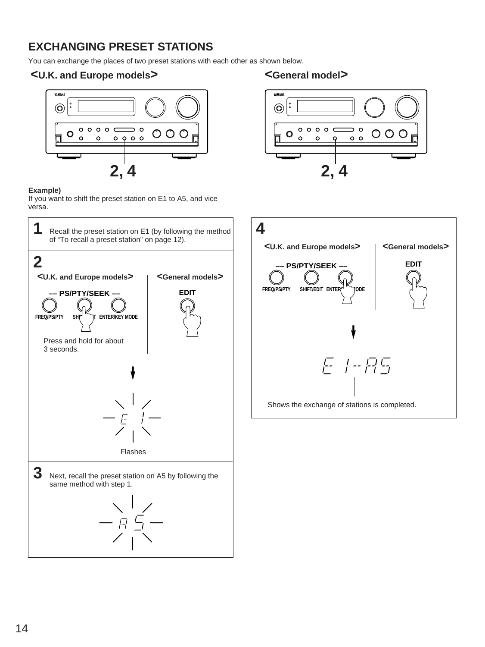# **EXCHANGING PRESET STATIONS**

You can exchange the places of two preset stations with each other as shown below.

# **<U.K. and Europe models> <General model>**



# **Example)**

If you want to shift the preset station on E1 to A5, and vice versa.





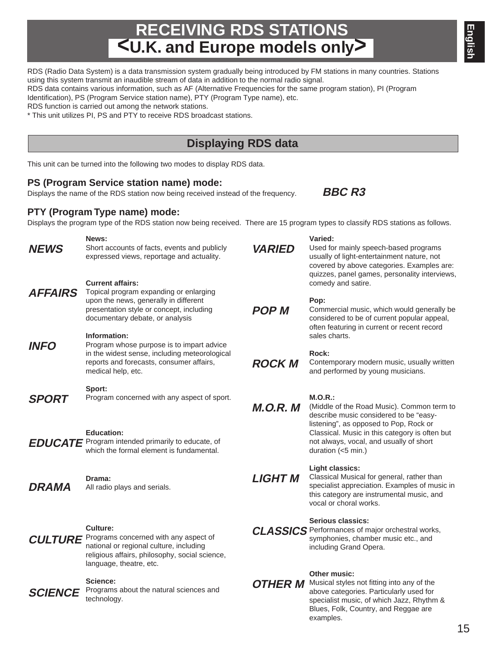# 15

# **RECEIVING RDS STATIONS <U.K. and Europe models only>**

**News:** Short accounts of facts, events and publicly expressed views, reportage and actuality. **Current affairs:** Topical program expanding or enlarging upon the news, generally in different presentation style or concept, including documentary debate, or analysis **Information:** Program whose purpose is to impart advice in the widest sense, including meteorological reports and forecasts, consumer affairs, medical help, etc. **Sport:** Program concerned with any aspect of sport. **Education:** which the formal element is fundamental. **Drama:** All radio plays and serials. **Culture:** national or regional culture, including religious affairs, philosophy, social science, language, theatre, etc. **Science:** Programs about the natural sciences and technology. **Varied:** Used for mainly speech-based programs usually of light-entertainment nature, not covered by above categories. Examples are: quizzes, panel games, personality interviews, comedy and satire. **Pop:** sales charts. **Rock:** and performed by young musicians. **M.O.R.:** duration (<5 min.) **Light classics:** vocal or choral works. **Serious classics:** including Grand Opera. **Other music: OTHER M** Musical styles not fitting into any of the above categories. Particularly used for specialist music, of which Jazz, Rhythm & Blues, Folk, Country, and Reggae are examples. **BBC R3 NEWS VARIED POP M ROCK M M.O.R. M LIGHT M**

### RDS (Radio Data System) is a data transmission system gradually being introduced by FM stations in many countries. Stations using this system transmit an inaudible stream of data in addition to the normal radio signal.

RDS data contains various information, such as AF (Alternative Frequencies for the same program station), PI (Program

Identification), PS (Program Service station name), PTY (Program Type name), etc.

RDS function is carried out among the network stations.

\* This unit utilizes PI, PS and PTY to receive RDS broadcast stations.

# **Displaying RDS data**

This unit can be turned into the following two modes to display RDS data.

# **PS (Program Service station name) mode:**

Displays the name of the RDS station now being received instead of the frequency.

# **PTY (Program Type name) mode:**

Displays the program type of the RDS station now being received. There are 15 program types to classify RDS stations as follows.

**EDUCATE** Program intended primarily to educate, of CULTURE Programs concerned with any aspect of **AFFAIRS INFO SPORT DRAMA SCIENCE**

Commercial music, which would generally be considered to be of current popular appeal, often featuring in current or recent record

Contemporary modern music, usually written

(Middle of the Road Music). Common term to describe music considered to be "easylistening", as opposed to Pop, Rock or Classical. Music in this category is often but not always, vocal, and usually of short

> Classical Musical for general, rather than specialist appreciation. Examples of music in this category are instrumental music, and

CLASSICS Performances of major orchestral works, symphonies, chamber music etc., and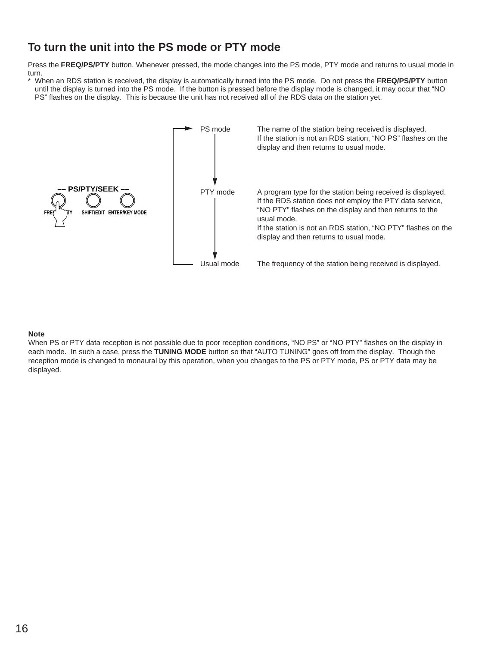# **To turn the unit into the PS mode or PTY mode**

Press the **FREQ/PS/PTY** button. Whenever pressed, the mode changes into the PS mode, PTY mode and returns to usual mode in turn.

\* When an RDS station is received, the display is automatically turned into the PS mode. Do not press the **FREQ/PS/PTY** button until the display is turned into the PS mode. If the button is pressed before the display mode is changed, it may occur that "NO PS" flashes on the display. This is because the unit has not received all of the RDS data on the station yet.



### **Note**

When PS or PTY data reception is not possible due to poor reception conditions, "NO PS" or "NO PTY" flashes on the display in each mode. In such a case, press the **TUNING MODE** button so that "AUTO TUNING" goes off from the display. Though the reception mode is changed to monaural by this operation, when you changes to the PS or PTY mode, PS or PTY data may be displayed.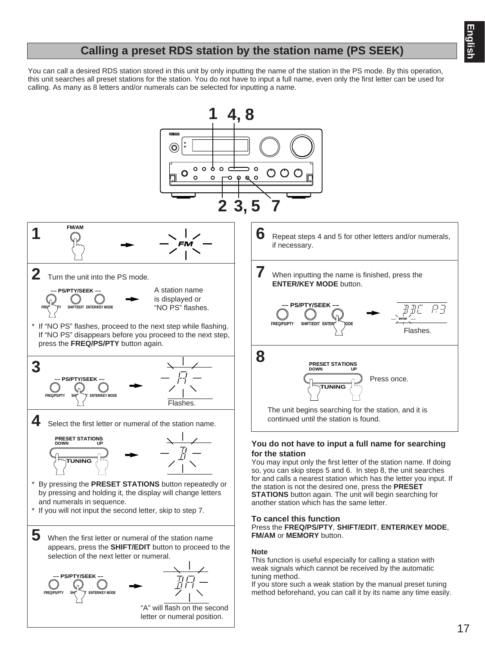# **Calling a preset RDS station by the station name (PS SEEK)**

You can call a desired RDS station stored in this unit by only inputting the name of the station in the PS mode. By this operation, this unit searches all preset stations for the station. You do not have to input a full name, even only the first letter can be used for calling. As many as 8 letters and/or numerals can be selected for inputting a name.

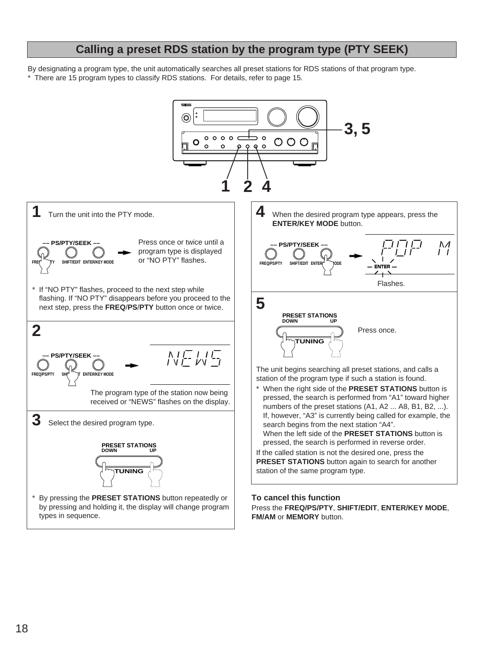# **Calling a preset RDS station by the program type (PTY SEEK)**

By designating a program type, the unit automatically searches all preset stations for RDS stations of that program type. \* There are 15 program types to classify RDS stations. For details, refer to page 15.

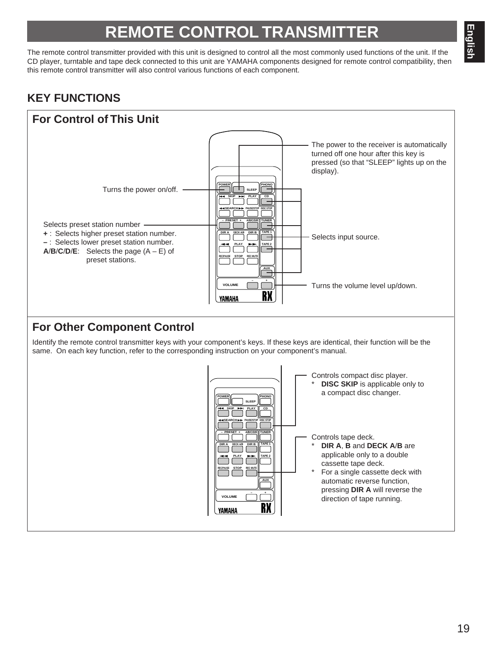# **REMOTE CONTROL TRANSMIT**

The remote control transmitter provided with this unit is designed to control all the most commonly used functions of the unit. If the CD player, turntable and tape deck connected to this unit are YAMAHA components designed for remote control compatibility, then this remote control transmitter will also control various functions of each component.

# **KEY FUNCTIONS**

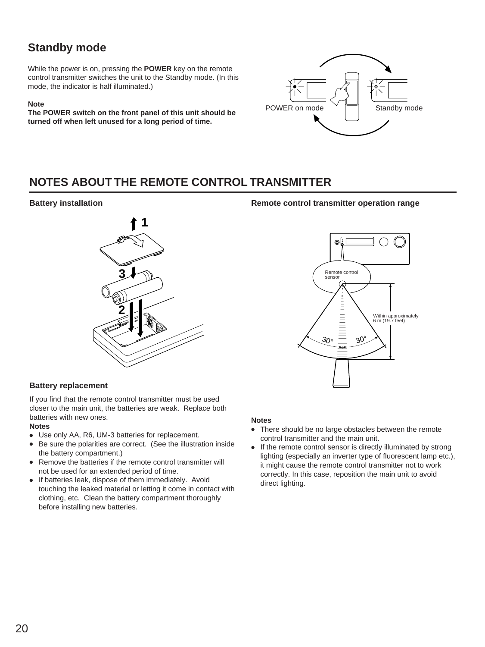# **Standby mode**

While the power is on, pressing the **POWER** key on the remote control transmitter switches the unit to the Standby mode. (In this mode, the indicator is half illuminated.)

### **Note**

**The POWER switch on the front panel of this unit should be turned off when left unused for a long period of time.**



# **NOTES ABOUT THE REMOTE CONTROL TRANSMITTER**

# **Battery installation**



### **Battery replacement**

If you find that the remote control transmitter must be used closer to the main unit, the batteries are weak. Replace both batteries with new ones.

### **Notes**

- Use only AA, R6, UM-3 batteries for replacement.
- Be sure the polarities are correct. (See the illustration inside the battery compartment.)
- Remove the batteries if the remote control transmitter will not be used for an extended period of time.
- If batteries leak, dispose of them immediately. Avoid touching the leaked material or letting it come in contact with clothing, etc. Clean the battery compartment thoroughly before installing new batteries.

# **Remote control transmitter operation range**



### **Notes**

- There should be no large obstacles between the remote control transmitter and the main unit.
- If the remote control sensor is directly illuminated by strong lighting (especially an inverter type of fluorescent lamp etc.), it might cause the remote control transmitter not to work correctly. In this case, reposition the main unit to avoid direct lighting.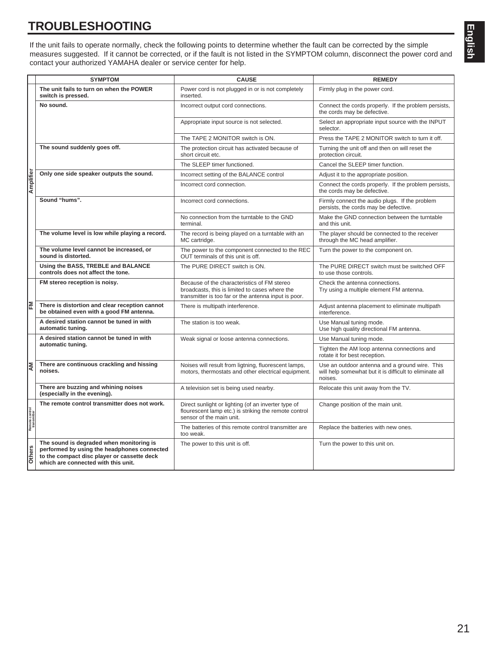# **TROUBLESHOOTING**

If the unit fails to operate normally, check the following points to determine whether the fault can be corrected by the simple measures suggested. If it cannot be corrected, or if the fault is not listed in the SYMPTOM column, disconnect the power cord and contact your authorized YAMAHA dealer or service center for help.

|                               | <b>SYMPTOM</b>                                                                                                                                                                | <b>CAUSE</b>                                                                                                                                          | <b>REMEDY</b>                                                                                                        |
|-------------------------------|-------------------------------------------------------------------------------------------------------------------------------------------------------------------------------|-------------------------------------------------------------------------------------------------------------------------------------------------------|----------------------------------------------------------------------------------------------------------------------|
|                               | The unit fails to turn on when the POWER<br>switch is pressed.                                                                                                                | Power cord is not plugged in or is not completely<br>inserted.                                                                                        | Firmly plug in the power cord.                                                                                       |
| Amplifier                     | No sound.                                                                                                                                                                     | Incorrect output cord connections.                                                                                                                    | Connect the cords properly. If the problem persists,<br>the cords may be defective.                                  |
|                               |                                                                                                                                                                               | Appropriate input source is not selected.                                                                                                             | Select an appropriate input source with the INPUT<br>selector.                                                       |
|                               |                                                                                                                                                                               | The TAPE 2 MONITOR switch is ON.                                                                                                                      | Press the TAPE 2 MONITOR switch to turn it off.                                                                      |
|                               | The sound suddenly goes off.                                                                                                                                                  | The protection circuit has activated because of<br>short circuit etc.                                                                                 | Turning the unit off and then on will reset the<br>protection circuit.                                               |
|                               |                                                                                                                                                                               | The SLEEP timer functioned.                                                                                                                           | Cancel the SLEEP timer function.                                                                                     |
|                               | Only one side speaker outputs the sound.                                                                                                                                      | Incorrect setting of the BALANCE control                                                                                                              | Adjust it to the appropriate position.                                                                               |
|                               |                                                                                                                                                                               | Incorrect cord connection.                                                                                                                            | Connect the cords properly. If the problem persists,<br>the cords may be defective.                                  |
|                               | Sound "hums".                                                                                                                                                                 | Incorrect cord connections.                                                                                                                           | Firmly connect the audio plugs. If the problem<br>persists, the cords may be defective.                              |
|                               |                                                                                                                                                                               | No connection from the turntable to the GND<br>terminal.                                                                                              | Make the GND connection between the turntable<br>and this unit.                                                      |
|                               | The volume level is low while playing a record.                                                                                                                               | The record is being played on a turntable with an<br>MC cartridge.                                                                                    | The player should be connected to the receiver<br>through the MC head amplifier.                                     |
|                               | The volume level cannot be increased, or<br>sound is distorted.                                                                                                               | The power to the component connected to the REC<br>OUT terminals of this unit is off.                                                                 | Turn the power to the component on.                                                                                  |
|                               | Using the BASS, TREBLE and BALANCE<br>controls does not affect the tone.                                                                                                      | The PURE DIRECT switch is ON.                                                                                                                         | The PURE DIRECT switch must be switched OFF<br>to use those controls.                                                |
|                               | FM stereo reception is noisy.                                                                                                                                                 | Because of the characteristics of FM stereo<br>broadcasts, this is limited to cases where the<br>transmitter is too far or the antenna input is poor. | Check the antenna connections.<br>Try using a multiple element FM antenna.                                           |
| ᅙ                             | There is distortion and clear reception cannot<br>be obtained even with a good FM antenna.                                                                                    | There is multipath interference.                                                                                                                      | Adjust antenna placement to eliminate multipath<br>interference.                                                     |
|                               | A desired station cannot be tuned in with<br>automatic tuning.                                                                                                                | The station is too weak.                                                                                                                              | Use Manual tuning mode.<br>Use high quality directional FM antenna.                                                  |
|                               | A desired station cannot be tuned in with                                                                                                                                     | Weak signal or loose antenna connections.                                                                                                             | Use Manual tuning mode.                                                                                              |
|                               | automatic tuning.                                                                                                                                                             |                                                                                                                                                       | Tighten the AM loop antenna connections and<br>rotate it for best reception.                                         |
| ౹౾                            | There are continuous crackling and hissing<br>noises.                                                                                                                         | Noises will result from ligtning, fluorescent lamps,<br>motors, thermostats and other electrical equipment.                                           | Use an outdoor antenna and a ground wire. This<br>will help somewhat but it is difficult to eliminate all<br>noises. |
|                               | There are buzzing and whining noises<br>(especially in the evening).                                                                                                          | A television set is being used nearby.                                                                                                                | Relocate this unit away from the TV.                                                                                 |
| Remote control<br>transmitter | The remote control transmitter does not work.                                                                                                                                 | Direct sunlight or lighting (of an inverter type of<br>flourescent lamp etc.) is striking the remote control<br>sensor of the main unit.              | Change position of the main unit.                                                                                    |
|                               |                                                                                                                                                                               | The batteries of this remote control transmitter are<br>too weak.                                                                                     | Replace the batteries with new ones.                                                                                 |
| <b>Others</b>                 | The sound is degraded when monitoring is<br>performed by using the headphones connected<br>to the compact disc player or cassette deck<br>which are connected with this unit. | The power to this unit is off.                                                                                                                        | Turn the power to this unit on.                                                                                      |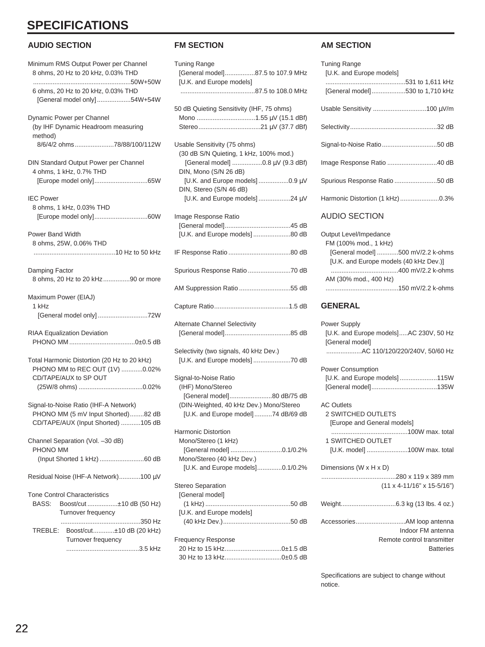# **SPECIFICATIONS**

# **AUDIO SECTION**

| Minimum RMS Output Power per Channel<br>8 ohms, 20 Hz to 20 kHz, 0.03% THD                                        |
|-------------------------------------------------------------------------------------------------------------------|
| 6 ohms, 20 Hz to 20 kHz, 0.03% THD<br>[General model only]54W+54W                                                 |
| Dynamic Power per Channel<br>(by IHF Dynamic Headroom measuring<br>method)<br>8/6/4/2 ohms78/88/100/112W          |
| DIN Standard Output Power per Channel<br>4 ohms, 1 kHz, 0.7% THD                                                  |
| <b>IEC Power</b><br>8 ohms, 1 kHz, 0.03% THD                                                                      |
| <b>Power Band Width</b><br>8 ohms, 25W, 0.06% THD                                                                 |
| Damping Factor<br>8 ohms, 20 Hz to 20 kHz90 or more                                                               |
| Maximum Power (EIAJ)<br>1 kHz<br>[General model only] 72W                                                         |
| RIAA Equalization Deviation                                                                                       |
| Total Harmonic Distortion (20 Hz to 20 kHz)<br>PHONO MM to REC OUT (1V) 0.02%<br>CD/TAPE/AUX to SP OUT            |
| Signal-to-Noise Ratio (IHF-A Network)<br>PHONO MM (5 mV Input Shorted)82 dB<br>CD/TAPE/AUX (Input Shorted) 105 dB |
| Channel Separation (Vol. -30 dB)<br>PHONO MM                                                                      |
| Residual Noise (IHF-A Network)100 µV                                                                              |
| <b>Tone Control Characteristics</b><br>BASS:<br>Boost/cut ±10 dB (50 Hz)<br>Turnover frequency                    |
| Boost/cut±10 dB (20 kHz)<br>TREBLE:<br>Turnover frequency                                                         |

### **FM SECTION**

| <b>Tuning Range</b><br>[General model]87.5 to 107.9 MHz<br>[U.K. and Europe models]                                                                                                                                               |
|-----------------------------------------------------------------------------------------------------------------------------------------------------------------------------------------------------------------------------------|
| 50 dB Quieting Sensitivity (IHF, 75 ohms)                                                                                                                                                                                         |
| Usable Sensitivity (75 ohms)<br>(30 dB S/N Quieting, 1 kHz, 100% mod.)<br>[General model] 0.8 µV (9.3 dBf)<br>DIN, Mono (S/N 26 dB)<br>[U.K. and Europe models]0.9 μV<br>DIN, Stereo (S/N 46 dB)<br>[U.K. and Europe models]24 µV |
| Image Response Ratio<br>[U.K. and Europe models] 80 dB                                                                                                                                                                            |
|                                                                                                                                                                                                                                   |
| Spurious Response Ratio 70 dB                                                                                                                                                                                                     |
| AM Suppression Ratio 55 dB                                                                                                                                                                                                        |
|                                                                                                                                                                                                                                   |
| <b>Alternate Channel Selectivity</b>                                                                                                                                                                                              |
| Selectivity (two signals, 40 kHz Dev.)                                                                                                                                                                                            |
| Signal-to-Noise Ratio<br>(IHF) Mono/Stereo<br>[General model]80 dB/75 dB<br>(DIN-Weighted, 40 kHz Dev.) Mono/Stereo<br>[U.K. and Europe model]74 dB/69 dB                                                                         |
| <b>Harmonic Distortion</b><br>Mono/Stereo (1 kHz)<br>[General model] 0.1/0.2%<br>Mono/Stereo (40 kHz Dev.)<br>[U.K. and Europe models]0.1/0.2%                                                                                    |
| <b>Stereo Separation</b><br>[General model]<br>[U.K. and Europe models]                                                                                                                                                           |
| <b>Frequency Response</b>                                                                                                                                                                                                         |

# **AM SECTION**

| <b>Tuning Range</b><br>[U.K. and Europe models] |  |
|-------------------------------------------------|--|
| [General model]530 to 1,710 kHz                 |  |
|                                                 |  |
|                                                 |  |
|                                                 |  |
| Image Response Ratio 40 dB                      |  |
| Spurious Response Ratio 50 dB                   |  |
| Harmonic Distortion (1 kHz)0.3%                 |  |

# AUDIO SECTION

# **GENERAL**

| <b>Power Supply</b><br>[U.K. and Europe models]AC 230V, 50 Hz<br>[General model]<br>AC 110/120/220/240V, 50/60 Hz                  |  |
|------------------------------------------------------------------------------------------------------------------------------------|--|
| <b>Power Consumption</b><br>[U.K. and Europe models]115W                                                                           |  |
| <b>AC Outlets</b><br><b>2 SWITCHED OUTLETS</b><br>[Europe and General models]<br>1 SWITCHED OUTLET<br>[U.K. model] 100W max. total |  |
| Dimensions (W x H x D)<br>$(11 \times 4 - 11/16" \times 15 - 5/16")$                                                               |  |
|                                                                                                                                    |  |
| Indoor FM antenna<br>Remote control transmitter<br><b>Batteries</b>                                                                |  |

Specifications are subject to change without notice.